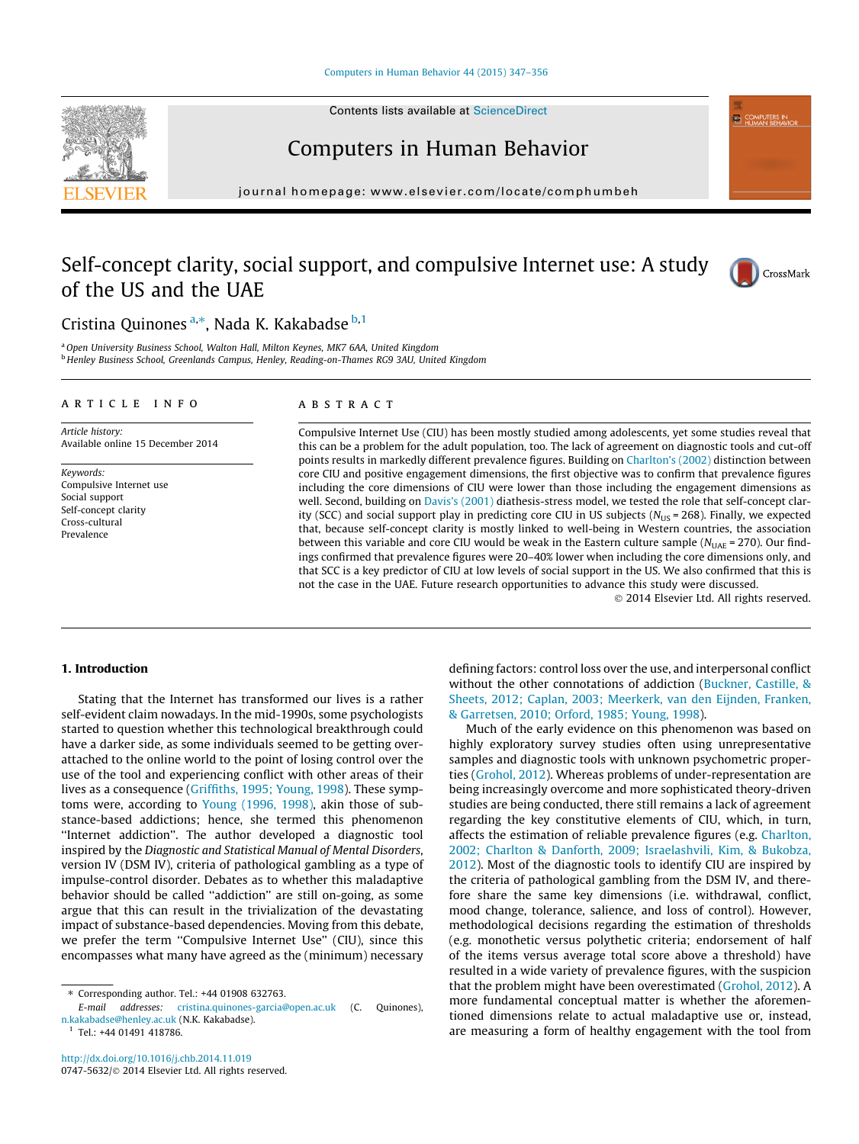#### [Computers in Human Behavior 44 \(2015\) 347–356](http://dx.doi.org/10.1016/j.chb.2014.11.019)

Contents lists available at [ScienceDirect](http://www.sciencedirect.com/science/journal/07475632)

## Computers in Human Behavior

journal homepage: [www.elsevier.com/locate/comphumbeh](http://www.elsevier.com/locate/comphumbeh)

## Self-concept clarity, social support, and compulsive Internet use: A study of the US and the UAE



**ED COMPUTERS IN** 

### Cristina Quinones <sup>a,\*</sup>, Nada K. Kakabadse <sup>b,1</sup>

a Open University Business School, Walton Hall, Milton Keynes, MK7 6AA, United Kingdom <sup>b</sup> Henley Business School, Greenlands Campus, Henley, Reading-on-Thames RG9 3AU, United Kingdom

#### article info

Article history: Available online 15 December 2014

Keywords: Compulsive Internet use Social support Self-concept clarity Cross-cultural Prevalence

#### ABSTRACT

Compulsive Internet Use (CIU) has been mostly studied among adolescents, yet some studies reveal that this can be a problem for the adult population, too. The lack of agreement on diagnostic tools and cut-off points results in markedly different prevalence figures. Building on [Charlton's \(2002\)](#page--1-0) distinction between core CIU and positive engagement dimensions, the first objective was to confirm that prevalence figures including the core dimensions of CIU were lower than those including the engagement dimensions as well. Second, building on [Davis's \(2001\)](#page--1-0) diathesis-stress model, we tested the role that self-concept clarity (SCC) and social support play in predicting core CIU in US subjects ( $N_{\text{US}}$  = 268). Finally, we expected that, because self-concept clarity is mostly linked to well-being in Western countries, the association between this variable and core CIU would be weak in the Eastern culture sample ( $N_{\text{UAE}}$  = 270). Our findings confirmed that prevalence figures were 20–40% lower when including the core dimensions only, and that SCC is a key predictor of CIU at low levels of social support in the US. We also confirmed that this is not the case in the UAE. Future research opportunities to advance this study were discussed.

- 2014 Elsevier Ltd. All rights reserved.

#### 1. Introduction

Stating that the Internet has transformed our lives is a rather self-evident claim nowadays. In the mid-1990s, some psychologists started to question whether this technological breakthrough could have a darker side, as some individuals seemed to be getting overattached to the online world to the point of losing control over the use of the tool and experiencing conflict with other areas of their lives as a consequence [\(Griffiths, 1995; Young, 1998\)](#page--1-0). These symptoms were, according to [Young \(1996, 1998\)](#page--1-0), akin those of substance-based addictions; hence, she termed this phenomenon ''Internet addiction''. The author developed a diagnostic tool inspired by the Diagnostic and Statistical Manual of Mental Disorders, version IV (DSM IV), criteria of pathological gambling as a type of impulse-control disorder. Debates as to whether this maladaptive behavior should be called ''addiction'' are still on-going, as some argue that this can result in the trivialization of the devastating impact of substance-based dependencies. Moving from this debate, we prefer the term "Compulsive Internet Use" (CIU), since this encompasses what many have agreed as the (minimum) necessary

<sup>1</sup> Tel.: +44 01491 418786.

defining factors: control loss over the use, and interpersonal conflict without the other connotations of addiction [\(Buckner, Castille, &](#page--1-0) [Sheets, 2012; Caplan, 2003; Meerkerk, van den Eijnden, Franken,](#page--1-0) [& Garretsen, 2010; Orford, 1985; Young, 1998](#page--1-0)).

Much of the early evidence on this phenomenon was based on highly exploratory survey studies often using unrepresentative samples and diagnostic tools with unknown psychometric properties [\(Grohol, 2012\)](#page--1-0). Whereas problems of under-representation are being increasingly overcome and more sophisticated theory-driven studies are being conducted, there still remains a lack of agreement regarding the key constitutive elements of CIU, which, in turn, affects the estimation of reliable prevalence figures (e.g. [Charlton,](#page--1-0) [2002; Charlton & Danforth, 2009; Israelashvili, Kim, & Bukobza,](#page--1-0) [2012](#page--1-0)). Most of the diagnostic tools to identify CIU are inspired by the criteria of pathological gambling from the DSM IV, and therefore share the same key dimensions (i.e. withdrawal, conflict, mood change, tolerance, salience, and loss of control). However, methodological decisions regarding the estimation of thresholds (e.g. monothetic versus polythetic criteria; endorsement of half of the items versus average total score above a threshold) have resulted in a wide variety of prevalence figures, with the suspicion that the problem might have been overestimated [\(Grohol, 2012](#page--1-0)). A more fundamental conceptual matter is whether the aforementioned dimensions relate to actual maladaptive use or, instead, are measuring a form of healthy engagement with the tool from

<sup>⇑</sup> Corresponding author. Tel.: +44 01908 632763.

E-mail addresses: [cristina.quinones-garcia@open.ac.uk](mailto:cristina.quinones-garcia@open.ac.uk) (C. Quinones), [n.kakabadse@henley.ac.uk](mailto:n.kakabadse@henley.ac.uk) (N.K. Kakabadse).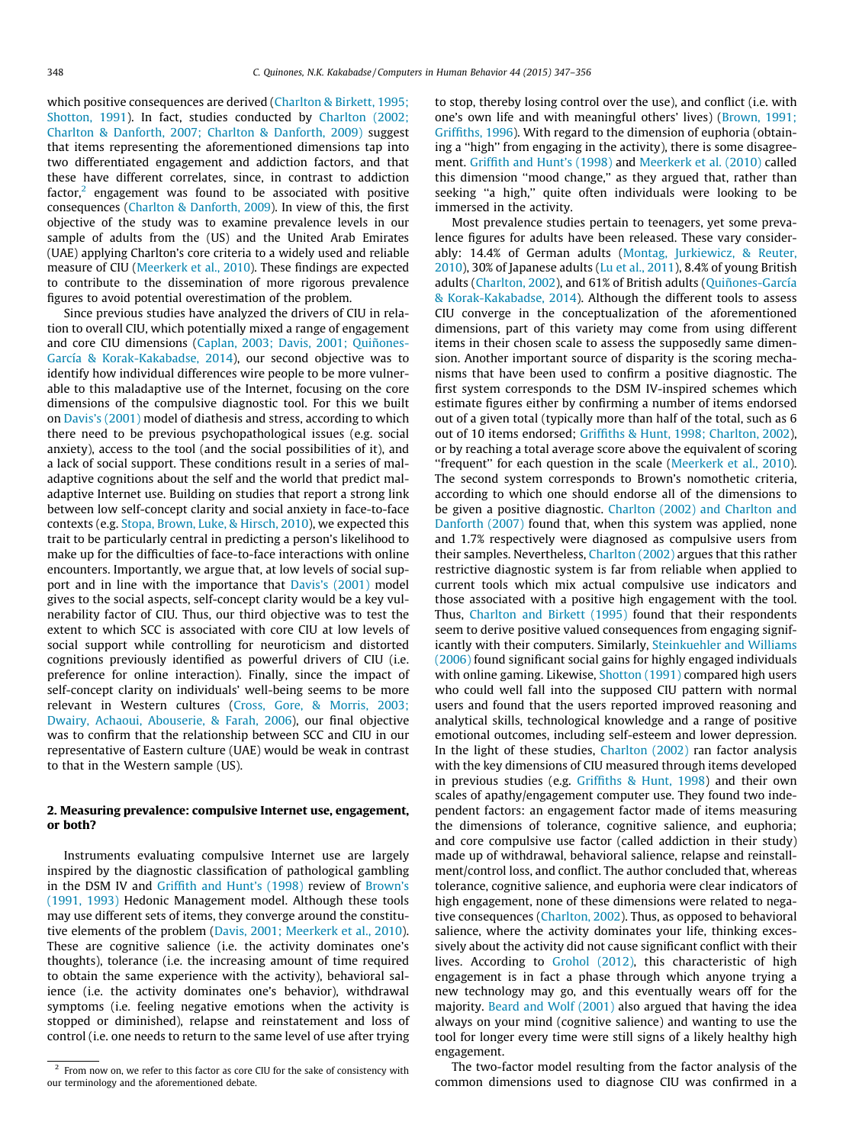which positive consequences are derived [\(Charlton & Birkett, 1995;](#page--1-0) [Shotton, 1991](#page--1-0)). In fact, studies conducted by [Charlton \(2002;](#page--1-0) [Charlton & Danforth, 2007; Charlton & Danforth, 2009\)](#page--1-0) suggest that items representing the aforementioned dimensions tap into two differentiated engagement and addiction factors, and that these have different correlates, since, in contrast to addiction factor, $2$  engagement was found to be associated with positive consequences [\(Charlton & Danforth, 2009\)](#page--1-0). In view of this, the first objective of the study was to examine prevalence levels in our sample of adults from the (US) and the United Arab Emirates (UAE) applying Charlton's core criteria to a widely used and reliable measure of CIU ([Meerkerk et al., 2010](#page--1-0)). These findings are expected to contribute to the dissemination of more rigorous prevalence figures to avoid potential overestimation of the problem.

Since previous studies have analyzed the drivers of CIU in relation to overall CIU, which potentially mixed a range of engagement and core CIU dimensions ([Caplan, 2003; Davis, 2001; Quiñones-](#page--1-0)[García & Korak-Kakabadse, 2014\)](#page--1-0), our second objective was to identify how individual differences wire people to be more vulnerable to this maladaptive use of the Internet, focusing on the core dimensions of the compulsive diagnostic tool. For this we built on [Davis's \(2001\)](#page--1-0) model of diathesis and stress, according to which there need to be previous psychopathological issues (e.g. social anxiety), access to the tool (and the social possibilities of it), and a lack of social support. These conditions result in a series of maladaptive cognitions about the self and the world that predict maladaptive Internet use. Building on studies that report a strong link between low self-concept clarity and social anxiety in face-to-face contexts (e.g. [Stopa, Brown, Luke, & Hirsch, 2010\)](#page--1-0), we expected this trait to be particularly central in predicting a person's likelihood to make up for the difficulties of face-to-face interactions with online encounters. Importantly, we argue that, at low levels of social support and in line with the importance that [Davis's \(2001\)](#page--1-0) model gives to the social aspects, self-concept clarity would be a key vulnerability factor of CIU. Thus, our third objective was to test the extent to which SCC is associated with core CIU at low levels of social support while controlling for neuroticism and distorted cognitions previously identified as powerful drivers of CIU (i.e. preference for online interaction). Finally, since the impact of self-concept clarity on individuals' well-being seems to be more relevant in Western cultures [\(Cross, Gore, & Morris, 2003;](#page--1-0) [Dwairy, Achaoui, Abouserie, & Farah, 2006](#page--1-0)), our final objective was to confirm that the relationship between SCC and CIU in our representative of Eastern culture (UAE) would be weak in contrast to that in the Western sample (US).

#### 2. Measuring prevalence: compulsive Internet use, engagement, or both?

Instruments evaluating compulsive Internet use are largely inspired by the diagnostic classification of pathological gambling in the DSM IV and [Griffith and Hunt's \(1998\)](#page--1-0) review of [Brown's](#page--1-0) [\(1991, 1993\)](#page--1-0) Hedonic Management model. Although these tools may use different sets of items, they converge around the constitutive elements of the problem ([Davis, 2001; Meerkerk et al., 2010\)](#page--1-0). These are cognitive salience (i.e. the activity dominates one's thoughts), tolerance (i.e. the increasing amount of time required to obtain the same experience with the activity), behavioral salience (i.e. the activity dominates one's behavior), withdrawal symptoms (i.e. feeling negative emotions when the activity is stopped or diminished), relapse and reinstatement and loss of control (i.e. one needs to return to the same level of use after trying to stop, thereby losing control over the use), and conflict (i.e. with one's own life and with meaningful others' lives) ([Brown, 1991;](#page--1-0) [Griffiths, 1996\)](#page--1-0). With regard to the dimension of euphoria (obtaining a ''high'' from engaging in the activity), there is some disagreement. [Griffith and Hunt's \(1998\)](#page--1-0) and [Meerkerk et al. \(2010\)](#page--1-0) called this dimension ''mood change,'' as they argued that, rather than seeking ''a high,'' quite often individuals were looking to be immersed in the activity.

Most prevalence studies pertain to teenagers, yet some prevalence figures for adults have been released. These vary considerably: 14.4% of German adults [\(Montag, Jurkiewicz, & Reuter,](#page--1-0) [2010\)](#page--1-0), 30% of Japanese adults [\(Lu et al., 2011\)](#page--1-0), 8.4% of young British adults [\(Charlton, 2002](#page--1-0)), and 61% of British adults ([Quiñones-García](#page--1-0) [& Korak-Kakabadse, 2014\)](#page--1-0). Although the different tools to assess CIU converge in the conceptualization of the aforementioned dimensions, part of this variety may come from using different items in their chosen scale to assess the supposedly same dimension. Another important source of disparity is the scoring mechanisms that have been used to confirm a positive diagnostic. The first system corresponds to the DSM IV-inspired schemes which estimate figures either by confirming a number of items endorsed out of a given total (typically more than half of the total, such as 6 out of 10 items endorsed; [Griffiths & Hunt, 1998; Charlton, 2002\)](#page--1-0), or by reaching a total average score above the equivalent of scoring "frequent" for each question in the scale ([Meerkerk et al., 2010\)](#page--1-0). The second system corresponds to Brown's nomothetic criteria, according to which one should endorse all of the dimensions to be given a positive diagnostic. [Charlton \(2002\) and Charlton and](#page--1-0) [Danforth \(2007\)](#page--1-0) found that, when this system was applied, none and 1.7% respectively were diagnosed as compulsive users from their samples. Nevertheless, [Charlton \(2002\)](#page--1-0) argues that this rather restrictive diagnostic system is far from reliable when applied to current tools which mix actual compulsive use indicators and those associated with a positive high engagement with the tool. Thus, [Charlton and Birkett \(1995\)](#page--1-0) found that their respondents seem to derive positive valued consequences from engaging significantly with their computers. Similarly, [Steinkuehler and Williams](#page--1-0) [\(2006\)](#page--1-0) found significant social gains for highly engaged individuals with online gaming. Likewise, [Shotton \(1991\)](#page--1-0) compared high users who could well fall into the supposed CIU pattern with normal users and found that the users reported improved reasoning and analytical skills, technological knowledge and a range of positive emotional outcomes, including self-esteem and lower depression. In the light of these studies, [Charlton \(2002\)](#page--1-0) ran factor analysis with the key dimensions of CIU measured through items developed in previous studies (e.g. [Griffiths & Hunt, 1998](#page--1-0)) and their own scales of apathy/engagement computer use. They found two independent factors: an engagement factor made of items measuring the dimensions of tolerance, cognitive salience, and euphoria; and core compulsive use factor (called addiction in their study) made up of withdrawal, behavioral salience, relapse and reinstallment/control loss, and conflict. The author concluded that, whereas tolerance, cognitive salience, and euphoria were clear indicators of high engagement, none of these dimensions were related to negative consequences [\(Charlton, 2002\)](#page--1-0). Thus, as opposed to behavioral salience, where the activity dominates your life, thinking excessively about the activity did not cause significant conflict with their lives. According to [Grohol \(2012\)](#page--1-0), this characteristic of high engagement is in fact a phase through which anyone trying a new technology may go, and this eventually wears off for the majority. [Beard and Wolf \(2001\)](#page--1-0) also argued that having the idea always on your mind (cognitive salience) and wanting to use the tool for longer every time were still signs of a likely healthy high engagement.

The two-factor model resulting from the factor analysis of the common dimensions used to diagnose CIU was confirmed in a

 $2$  From now on, we refer to this factor as core CIU for the sake of consistency with our terminology and the aforementioned debate.